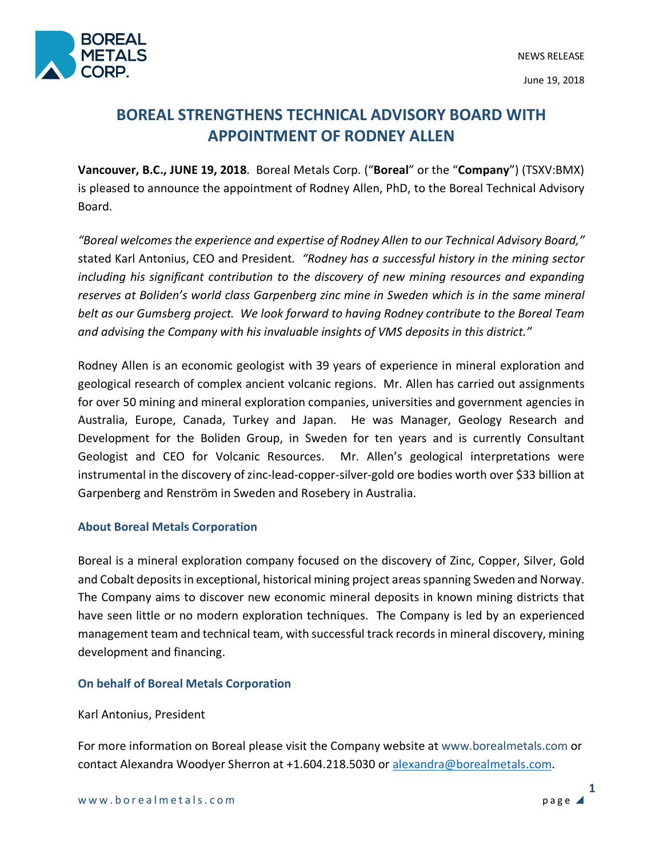

# **BOREAL STRENGTHENS TECHNICAL ADVISORY BOARD WITH APPOINTMENT OF RODNEY ALLEN**

**Vancouver, B.C., JUNE 19, 2018**. Boreal Metals Corp. ("**Boreal**" or the "**Company**") (TSXV:BMX) is pleased to announce the appointment of Rodney Allen, PhD, to the Boreal Technical Advisory Board.

*"Boreal welcomes the experience and expertise of Rodney Allen to our Technical Advisory Board,"*  stated Karl Antonius, CEO and President*. "Rodney has a successful history in the mining sector including his significant contribution to the discovery of new mining resources and expanding reserves at Boliden's world class Garpenberg zinc mine in Sweden which is in the same mineral belt as our Gumsberg project. We look forward to having Rodney contribute to the Boreal Team and advising the Company with his invaluable insights of VMS deposits in this district."*

Rodney Allen is an economic geologist with 39 years of experience in mineral exploration and geological research of complex ancient volcanic regions. Mr. Allen has carried out assignments for over 50 mining and mineral exploration companies, universities and government agencies in Australia, Europe, Canada, Turkey and Japan. He was Manager, Geology Research and Development for the Boliden Group, in Sweden for ten years and is currently Consultant Geologist and CEO for Volcanic Resources. Mr. Allen's geological interpretations were instrumental in the discovery of zinc-lead-copper-silver-gold ore bodies worth over \$33 billion at Garpenberg and Renström in Sweden and Rosebery in Australia.

## **About Boreal Metals Corporation**

Boreal is a mineral exploration company focused on the discovery of Zinc, Copper, Silver, Gold and Cobalt deposits in exceptional, historical mining project areas spanning Sweden and Norway. The Company aims to discover new economic mineral deposits in known mining districts that have seen little or no modern exploration techniques. The Company is led by an experienced management team and technical team, with successful track records in mineral discovery, mining development and financing.

## **On behalf of Boreal Metals Corporation**

## Karl Antonius, President

For more information on Boreal please visit the Company website at www.borealmetals.com or contact Alexandra Woodyer Sherron at +1.604.218.5030 or alexandra@borealmetals.com.